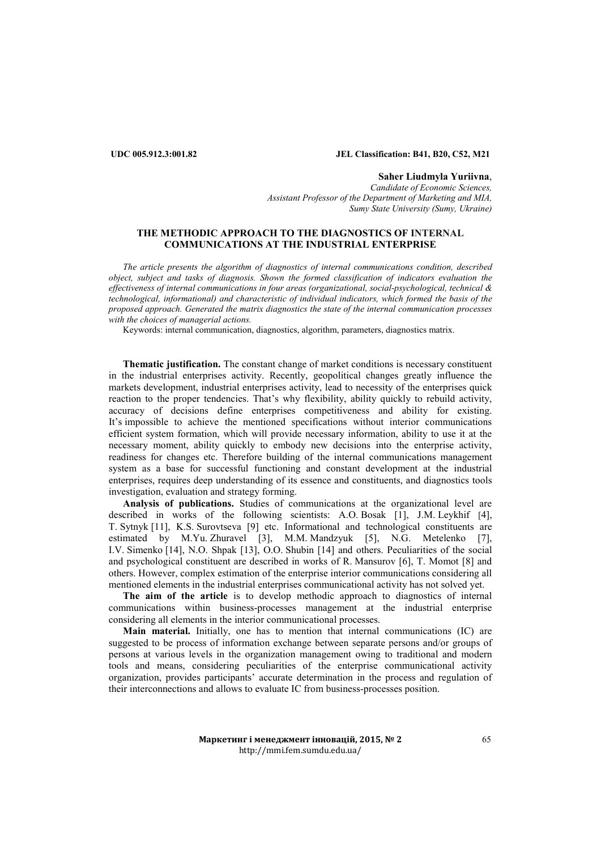# **UDC 005.912.3:001.82 JEL Classification: В41, В20, C52, M21**

**Saher Liudmyla Yuriivna**, *Candidate of Economic Sciences.* Assistant Professor of the Department of Marketing and MIA, *Sumy State University (Sumy, Ukraine)*

# **THE METHODIC APPROACH TO THE DIAGNOSTICS OF INTERNAL COMMUNICATIONS AT THE INDUSTRIAL ENTERPRISE**

*The article presents the algorithm of diagnostics of internal communications condition, described object, subject and tasks of diagnosis. Shown the formed classification of indicators evaluation the effectiveness of internal communications in four areas (organizational, social-psychological, technical & technological, informational) and characteristic of individual indicators, which formed the basis of the proposed approach. Generated the matrix diagnostics the state of the internal communication processes with the choices of managerial actions.* 

Keywords: internal communication, diagnostics, algorithm, parameters, diagnostics matrix.

**Thematic justification.** The constant change of market conditions is necessary constituent in the industrial enterprises activity. Recently, geopolitical changes greatly influence the markets development, industrial enterprises activity, lead to necessity of the enterprises quick reaction to the proper tendencies. That's why flexibility, ability quickly to rebuild activity, accuracy of decisions define enterprises competitiveness and ability for existing. It's impossible to achieve the mentioned specifications without interior communications efficient system formation, which will provide necessary information, ability to use it at the necessary moment, ability quickly to embody new decisions into the enterprise activity, readiness for changes etc. Therefore building of the internal communications management system as a base for successful functioning and constant development at the industrial enterprises, requires deep understanding of its essence and constituents, and diagnostics tools investigation, evaluation and strategy forming.

**Analysis of publications.** Studies of communications at the organizational level are described in works of the following scientists: А.О. Bosak [1], J.M. Leykhif [4], Т. Sytnyk [11], K.S. Surovtseva [9] etc. Informational and technological constituents are estimated by М.Yu. Zhuravel [3], М.М. Mandzyuk [5], N.G. Metelenko [7], І.V. Simenko [14], N.О. Shpak [13], О.О. Shubin [14] and others. Peculiarities of the social and psychological constituent are described in works of R. Mansurov [6], Т. Momot [8] and others. However, complex estimation of the enterprise interior communications considering all mentioned elements in the industrial enterprises communicational activity has not solved yet.

**The aim of the article** is to develop methodic approach to diagnostics of internal communications within business-processes management at the industrial enterprise considering all elements in the interior communicational processes.

**Main material.** Initially, one has to mention that internal communications (IC) are suggested to be process of information exchange between separate persons and/or groups of persons at various levels in the organization management owing to traditional and modern tools and means, considering peculiarities of the enterprise communicational activity organization, provides participants' accurate determination in the process and regulation of their interconnections and allows to evaluate IC from business-processes position.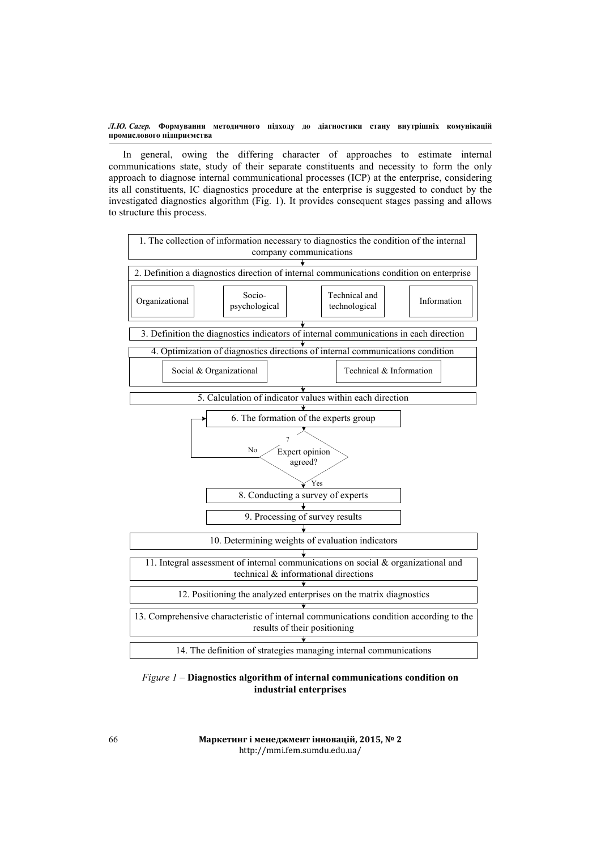In general, owing the differing character of approaches to estimate internal communications state, study of their separate constituents and necessity to form the only approach to diagnose internal communicational processes (ICP) at the enterprise, considering its all constituents, IC diagnostics procedure at the enterprise is suggested to conduct by the investigated diagnostics algorithm (Fig. 1). It provides consequent stages passing and allows to structure this process.



*Figure 1* – **Diagnostics algorithm of internal communications condition on industrial enterprises**

**Маркетинг і менеджмент інновацій, 2015, № 2** http://mmi.fem.sumdu.edu.ua/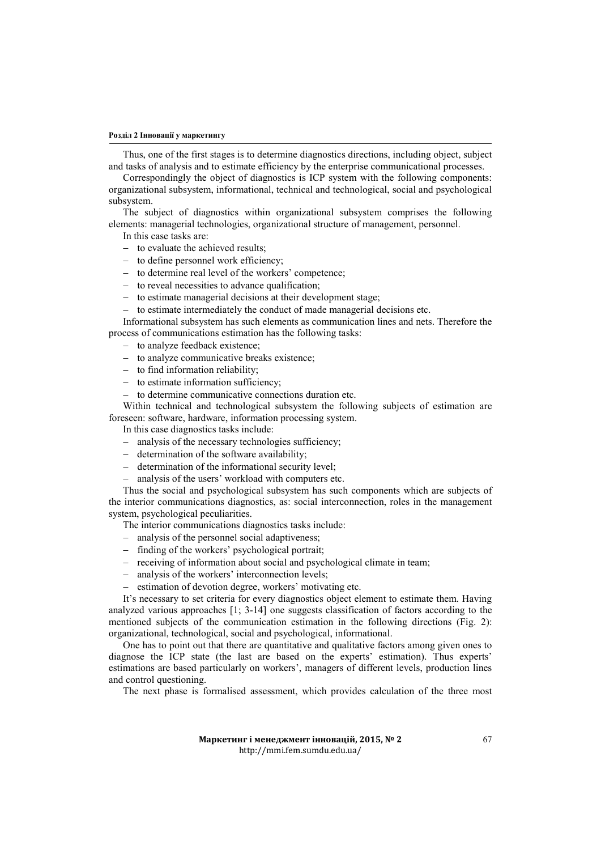#### **Розділ 2 Інновації у маркетингу**

Thus, one of the first stages is to determine diagnostics directions, including object, subject and tasks of analysis and to estimate efficiency by the enterprise communicational processes.

Correspondingly the object of diagnostics is ICP system with the following components: organizational subsystem, informational, technical and technological, social and psychological subsystem.

The subject of diagnostics within organizational subsystem comprises the following elements: managerial technologies, organizational structure of management, personnel.

In this case tasks are:

- − to evaluate the achieved results;
- − to define personnel work efficiency;
- − to determine real level of the workers' competence;
- − to reveal necessities to advance qualification;
- − to estimate managerial decisions at their development stage;
- to estimate intermediately the conduct of made managerial decisions etc.

Informational subsystem has such elements as communication lines and nets. Therefore the process of communications estimation has the following tasks:

- − to analyze feedback existence;
- − to analyze communicative breaks existence;
- − to find information reliability;
- − to estimate information sufficiency;
- to determine communicative connections duration etc.

Within technical and technological subsystem the following subjects of estimation are foreseen: software, hardware, information processing system.

In this case diagnostics tasks include:

- − analysis of the necessary technologies sufficiency;
- − determination of the software availability;
- − determination of the informational security level;
- − analysis of the users' workload with computers etc.

Thus the social and psychological subsystem has such components which are subjects of the interior communications diagnostics, as: social interconnection, roles in the management system, psychological peculiarities.

The interior communications diagnostics tasks include:

- − analysis of the personnel social adaptiveness;
- − finding of the workers' psychological portrait;
- − receiving of information about social and psychological climate in team;
- − analysis of the workers' interconnection levels;
- − estimation of devotion degree, workers' motivating etc.

It's necessary to set criteria for every diagnostics object element to estimate them. Having analyzed various approaches [1; 3-14] one suggests classification of factors according to the mentioned subjects of the communication estimation in the following directions (Fig. 2): organizational, technological, social and psychological, informational.

One has to point out that there are quantitative and qualitative factors among given ones to diagnose the ICP state (the last are based on the experts' estimation). Thus experts' estimations are based particularly on workers', managers of different levels, production lines and control questioning.

The next phase is formalised assessment, which provides calculation of the three most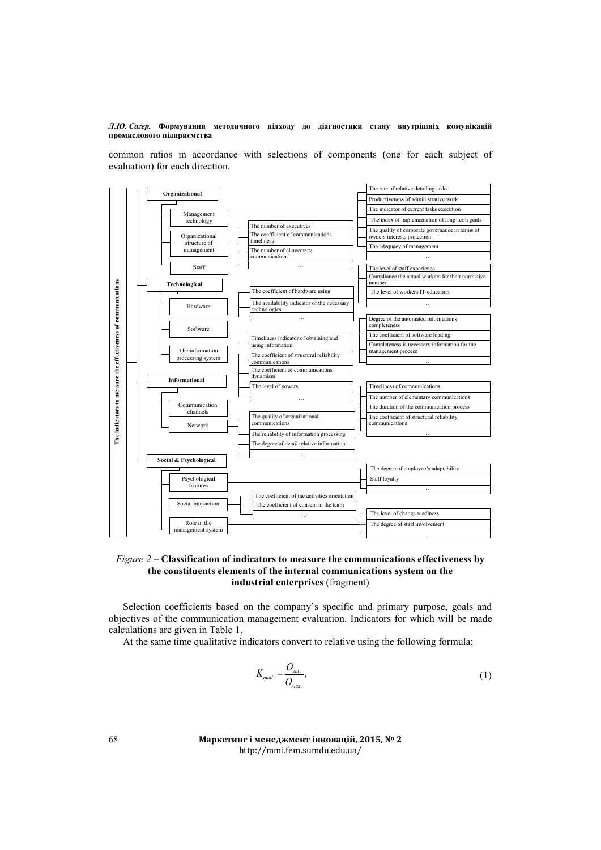common ratios in accordance with selections of components (one for each subject of evaluation) for each direction.



# *Figure 2 –* **Classification of indicators to measure the communications effectiveness by the constituents elements of the internal communications system on the industrial enterprises** (fragment)

Selection coefficients based on the company`s specific and primary purpose, goals and objectives of the communication management evaluation. Indicators for which will be made calculations are given in Table 1.

At the same time qualitative indicators convert to relative using the following formula:

$$
K_{qual.} = \frac{O_{ent.}}{O_{max.}}\tag{1}
$$

**Маркетинг і менеджмент інновацій, 2015, № 2** http://mmi.fem.sumdu.edu.ua/

68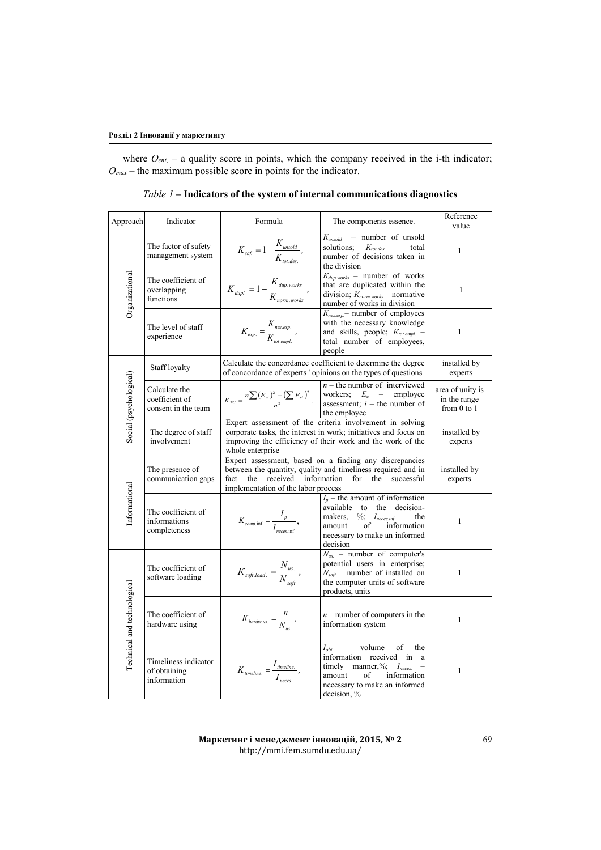where  $O_{ent.}$  – a quality score in points, which the company received in the i-th indicator;  $O_{max}$  – the maximum possible score in points for the indicator.

| Approach                    | Indicator                                              | Formula                                                                                                                                                                                                       | The components essence.                                                                                                                                                                    | Reference<br>value                                  |
|-----------------------------|--------------------------------------------------------|---------------------------------------------------------------------------------------------------------------------------------------------------------------------------------------------------------------|--------------------------------------------------------------------------------------------------------------------------------------------------------------------------------------------|-----------------------------------------------------|
| Organizational              | The factor of safety<br>management system              | $K_{\text{saf.}} = 1 - \frac{K_{\text{unsold}}}{K_{\text{tot.des.}}},$                                                                                                                                        | $K_{unsold}$<br>- number of unsold<br>solutions;<br>$K_{tot. des.}$<br>$\equiv$<br>total<br>number of decisions taken in<br>the division                                                   | $\mathbf{1}$                                        |
|                             | The coefficient of<br>overlapping<br>functions         | $K_{\text{dupl.}} = 1 - \frac{K_{\text{dup. works}}}{K_{\text{norm. works}}},$                                                                                                                                | $K_{dup. works}$ – number of works<br>that are duplicated within the<br>division; $K_{norm. works}$ – normative<br>number of works in division                                             | $\mathbf{1}$                                        |
|                             | The level of staff<br>experience                       | $K_{exp.} = \frac{K_{nes. exp.}}{K_{tot. exp.}}$                                                                                                                                                              | $K_{nes. exp}$ – number of employees<br>with the necessary knowledge<br>and skills, people; $K_{tot.empl.}$ -<br>total number of employees,<br>people                                      | $\mathbf{1}$                                        |
| Social (psychological)      | Staff loyalty                                          | Calculate the concordance coefficient to determine the degree<br>of concordance of experts ' opinions on the types of questions                                                                               | installed by<br>experts                                                                                                                                                                    |                                                     |
|                             | Calculate the<br>coefficient of<br>consent in the team |                                                                                                                                                                                                               | $n -$ the number of interviewed<br>$K_{TC} = \frac{n \sum (E_{ei})^2 - (\sum E_{ei})^2}{n^2}$ , workers; $E_e$ – employee assessment; <i>i</i> – the number of<br>the employee             | area of unity is<br>in the range<br>from $0$ to $1$ |
|                             | The degree of staff<br>involvement                     | Expert assessment of the criteria involvement in solving<br>corporate tasks, the interest in work; initiatives and focus on<br>improving the efficiency of their work and the work of the<br>whole enterprise | installed by<br>experts                                                                                                                                                                    |                                                     |
| Informational               | The presence of<br>communication gaps                  | Expert assessment, based on a finding any discrepancies<br>between the quantity, quality and timeliness required and in<br>received<br>information<br>fact<br>the<br>implementation of the labor process      | installed by<br>experts                                                                                                                                                                    |                                                     |
|                             | The coefficient of<br>informations<br>completeness     | $K_{comp.inf} = \frac{I_p}{I_{space inf}},$                                                                                                                                                                   | $I_p$ – the amount of information<br>available to the decision-<br>makers, $\%$ ; $I_{neces.inf}$ – the<br>of<br>amount<br>information<br>necessary to make an informed<br>decision        | 1                                                   |
| Technical and technological | The coefficient of<br>software loading                 | $K_{\text{soft.load.}} = \frac{N_{\text{us.}}}{N_{\text{soft}}},$                                                                                                                                             | $N_{us.}$ – number of computer's<br>potential users in enterprise;<br>$N_{soft}$ – number of installed on<br>the computer units of software<br>products, units                             | 1                                                   |
|                             | The coefficient of<br>hardware using                   | $K_{\text{hardw.us.}} = \frac{n}{N_{\text{ue}}},$                                                                                                                                                             | $n$ – number of computers in the<br>information system                                                                                                                                     | 1                                                   |
|                             | Timeliness indicator<br>of obtaining<br>information    | $K_{\text{timeline.}} = \frac{I_{\text{timeline.}}}{I},$                                                                                                                                                      | volume<br>$I_{\text{obt.}}$<br>of<br>the<br>$ -$<br>information received in a<br>timely manner,%; Ineces.<br>amount<br>of<br>information<br>necessary to make an informed<br>decision, $%$ | $\mathbf{1}$                                        |

*Table 1 –* **Indicators of the system of internal communications diagnostics**

**Маркетинг і менеджмент інновацій, 2015, № 2** http://mmi.fem.sumdu.edu.ua/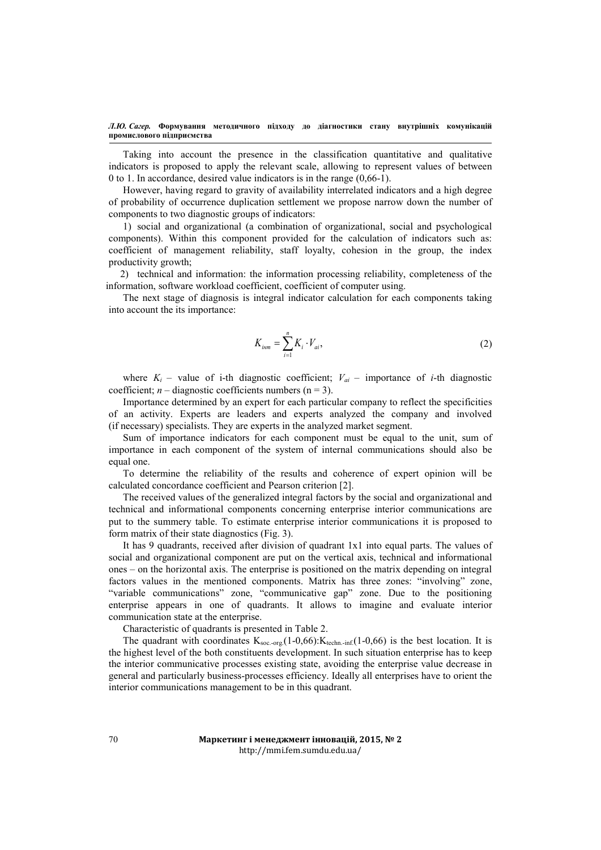Taking into account the presence in the classification quantitative and qualitative indicators is proposed to apply the relevant scale, allowing to represent values of between 0 to 1. In accordance, desired value indicators is in the range (0,66-1).

However, having regard to gravity of availability interrelated indicators and a high degree of probability of occurrence duplication settlement we propose narrow down the number of components to two diagnostic groups of indicators:

1) social and organizational (a combination of organizational, social and psychological components). Within this component provided for the calculation of indicators such as: coefficient of management reliability, staff loyalty, cohesion in the group, the index productivity growth;

2) technical and information: the information processing reliability, completeness of the information, software workload coefficient, coefficient of computer using.

The next stage of diagnosis is integral indicator calculation for each components taking into account the its importance:

$$
K_{i\mu m} = \sum_{i=1}^{n} K_i \cdot V_{ai},
$$
 (2)

where  $K_i$  – value of *i*-th diagnostic coefficient;  $V_{ai}$  – importance of *i*-th diagnostic coefficient;  $n -$  diagnostic coefficients numbers ( $n = 3$ ).

Importance determined by an expert for each particular company to reflect the specificities of an activity. Experts are leaders and experts analyzed the company and involved (if necessary) specialists. They are experts in the analyzed market segment.

Sum of importance indicators for each component must be equal to the unit, sum of importance in each component of the system of internal communications should also be equal one.

To determine the reliability of the results and coherence of expert opinion will be calculated concordance coefficient and Pearson criterion [2].

The received values of the generalized integral factors by the social and organizational and technical and informational components concerning enterprise interior communications are put to the summery table. To estimate enterprise interior communications it is proposed to form matrix of their state diagnostics (Fig. 3).

It has 9 quadrants, received after division of quadrant 1х1 into equal parts. The values of social and organizational component are put on the vertical axis, technical and informational ones – on the horizontal axis. The enterprise is positioned on the matrix depending on integral factors values in the mentioned components. Matrix has three zones: "involving" zone, "variable communications" zone, "communicative gap" zone. Due to the positioning enterprise appears in one of quadrants. It allows to imagine and evaluate interior communication state at the enterprise.

Characteristic of quadrants is presented in Table 2.

The quadrant with coordinates  $K_{\text{soc.org}}(1-0.66)$ :  $K_{\text{techn. inf}}(1-0.66)$  is the best location. It is the highest level of the both constituents development. In such situation enterprise has to keep the interior communicative processes existing state, avoiding the enterprise value decrease in general and particularly business-processes efficiency. Ideally all enterprises have to orient the interior communications management to be in this quadrant.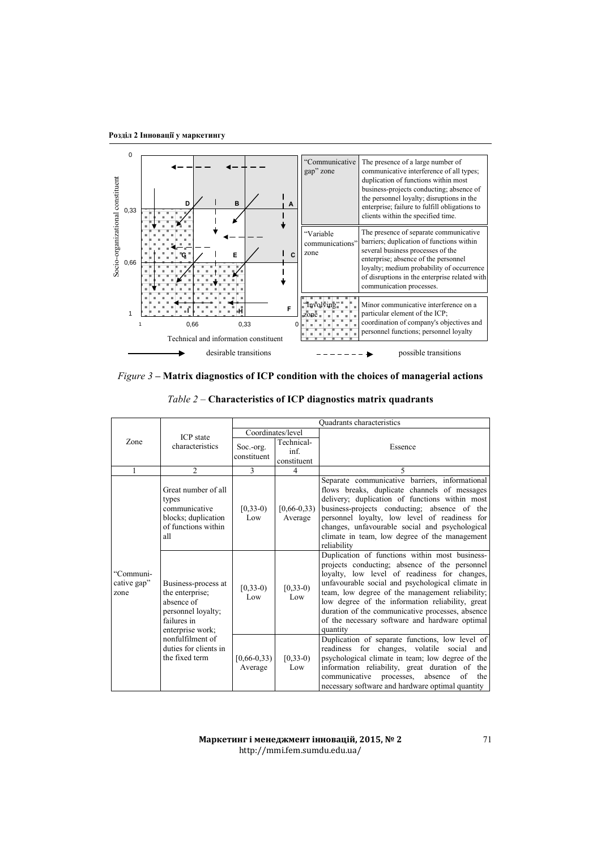**Розділ 2 Інновації у маркетингу**



*Figure 3* **– Matrix diagnostics of ICP condition with the choices of managerial actions**

| <i>Table 2 – Characteristics of ICP diagnostics matrix quadrants</i> |  |
|----------------------------------------------------------------------|--|
|----------------------------------------------------------------------|--|

|  |                                  | <b>ICP</b> state<br>characteristics                                                                                                                                          | <b>Ouadrants characteristics</b> |                                   |                                                                                                                                                                                                                                                                                                                                                                                                                              |
|--|----------------------------------|------------------------------------------------------------------------------------------------------------------------------------------------------------------------------|----------------------------------|-----------------------------------|------------------------------------------------------------------------------------------------------------------------------------------------------------------------------------------------------------------------------------------------------------------------------------------------------------------------------------------------------------------------------------------------------------------------------|
|  |                                  |                                                                                                                                                                              | Coordinates/level                |                                   |                                                                                                                                                                                                                                                                                                                                                                                                                              |
|  | Zone                             |                                                                                                                                                                              | Soc.-org.<br>constituent         | Technical-<br>inf.<br>constituent | Essence                                                                                                                                                                                                                                                                                                                                                                                                                      |
|  | 1                                | $\overline{2}$                                                                                                                                                               | 3                                | $\overline{4}$                    | 5                                                                                                                                                                                                                                                                                                                                                                                                                            |
|  |                                  | Great number of all<br>types<br>communicative<br>blocks; duplication<br>of functions within<br>all                                                                           | $[0, 33-0)$<br>Low               | $[0,66-0,33)$<br>Average          | Separate communicative barriers, informational<br>flows breaks, duplicate channels of messages<br>delivery; duplication of functions within most<br>business-projects conducting; absence of the<br>personnel loyalty, low level of readiness for<br>changes, unfavourable social and psychological<br>climate in team, low degree of the management<br>reliability                                                          |
|  | "Communi-<br>cative gap"<br>zone | Business-process at<br>the enterprise;<br>absence of<br>personnel loyalty;<br>failures in<br>enterprise work;<br>nonfulfilment of<br>duties for clients in<br>the fixed term | $[0, 33-0)$<br>Low               | $[0, 33-0)$<br>Low                | Duplication of functions within most business-<br>projects conducting; absence of the personnel<br>loyalty, low level of readiness for changes,<br>unfavourable social and psychological climate in<br>team, low degree of the management reliability;<br>low degree of the information reliability, great<br>duration of the communicative processes, absence<br>of the necessary software and hardware optimal<br>quantity |
|  |                                  |                                                                                                                                                                              | $[0,66-0,33)$<br>Average         | $[0, 33-0)$<br>Low                | Duplication of separate functions, low level of<br>readiness for changes, volatile social<br>and<br>psychological climate in team; low degree of the<br>information reliability, great duration of the<br>absence<br>of<br>communicative<br>processes,<br>the<br>necessary software and hardware optimal quantity                                                                                                            |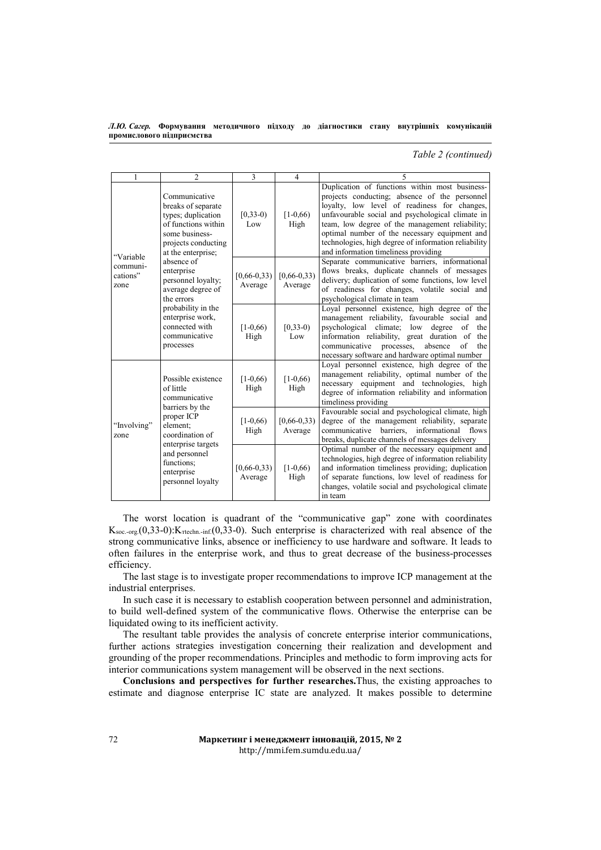*Тable 2 (continued)*

| 1                                         | $\overline{2}$                                                                                                                                       | 3                            | $\overline{4}$           | 5                                                                                                                                                                                                                                                                                                                                                                                                       |
|-------------------------------------------|------------------------------------------------------------------------------------------------------------------------------------------------------|------------------------------|--------------------------|---------------------------------------------------------------------------------------------------------------------------------------------------------------------------------------------------------------------------------------------------------------------------------------------------------------------------------------------------------------------------------------------------------|
|                                           | Communicative<br>breaks of separate<br>types; duplication<br>of functions within<br>some business-<br>projects conducting<br>at the enterprise;      | $[0, 33-0)$<br>Low           | $[1-0,66]$<br>High       | Duplication of functions within most business-<br>projects conducting; absence of the personnel<br>loyalty, low level of readiness for changes,<br>unfavourable social and psychological climate in<br>team, low degree of the management reliability;<br>optimal number of the necessary equipment and<br>technologies, high degree of information reliability<br>and information timeliness providing |
| "Variable<br>communi-<br>cations"<br>zone | absence of<br>enterprise<br>personnel loyalty;<br>average degree of<br>the errors                                                                    | $[0,66-0,33)$<br>Average     | $[0,66-0,33)$<br>Average | Separate communicative barriers, informational<br>flows breaks, duplicate channels of messages<br>delivery; duplication of some functions, low level<br>of readiness for changes, volatile social and<br>psychological climate in team                                                                                                                                                                  |
|                                           | probability in the<br>enterprise work,<br>connected with<br>communicative<br>processes                                                               | $[1-0,66)$<br>High           | $(0, 33-0)$<br>Low       | Loyal personnel existence, high degree of the<br>management reliability, favourable social<br>and<br>psychological climate; low<br>degree<br>of<br>the<br>information reliability, great duration of<br>the<br>communicative<br>processes,<br>absence<br>of<br>the<br>necessary software and hardware optimal number                                                                                    |
|                                           | Possible existence<br>of little<br>communicative                                                                                                     | $[1-0,66]$<br>High           | $[1-0,66]$<br>High       | Loyal personnel existence, high degree of the<br>management reliability, optimal number of the<br>necessary equipment and technologies, high<br>degree of information reliability and information<br>timeliness providing                                                                                                                                                                               |
| "Involving"<br>zone                       | barriers by the<br>proper ICP<br>element:<br>coordination of<br>enterprise targets<br>and personnel<br>functions:<br>enterprise<br>personnel loyalty | $[1-0.66]$<br>High           | $[0,66-0,33)$<br>Average | Favourable social and psychological climate, high<br>degree of the management reliability, separate<br>communicative barriers, informational flows<br>breaks, duplicate channels of messages delivery                                                                                                                                                                                                   |
|                                           |                                                                                                                                                      | $[0, 66 - 0, 33)$<br>Average | $[1-0.66]$<br>High       | Optimal number of the necessary equipment and<br>technologies, high degree of information reliability<br>and information timeliness providing; duplication<br>of separate functions, low level of readiness for<br>changes, volatile social and psychological climate<br>in team                                                                                                                        |

The worst location is quadrant of the "communicative gap" zone with coordinates  $K_{\text{soc.org.}}(0,33-0)$ : $K_{\text{rtechn. inf.}}(0,33-0)$ . Such enterprise is characterized with real absence of the strong communicative links, absence or inefficiency to use hardware and software. It leads to often failures in the enterprise work, and thus to great decrease of the business-processes efficiency.

The last stage is to investigate proper recommendations to improve ICP management at the industrial enterprises.

In such case it is necessary to establish cooperation between personnel and administration, to build well-defined system of the communicative flows. Otherwise the enterprise can be liquidated owing to its inefficient activity.

The resultant table provides the analysis of concrete enterprise interior communications, further actions strategies investigation concerning their realization and development and grounding of the proper recommendations. Principles and methodic to form improving acts for interior communications system management will be observed in the next sections.

**Conclusions and perspectives for further researches.**Thus, the existing approaches to estimate and diagnose enterprise IC state are analyzed. It makes possible to determine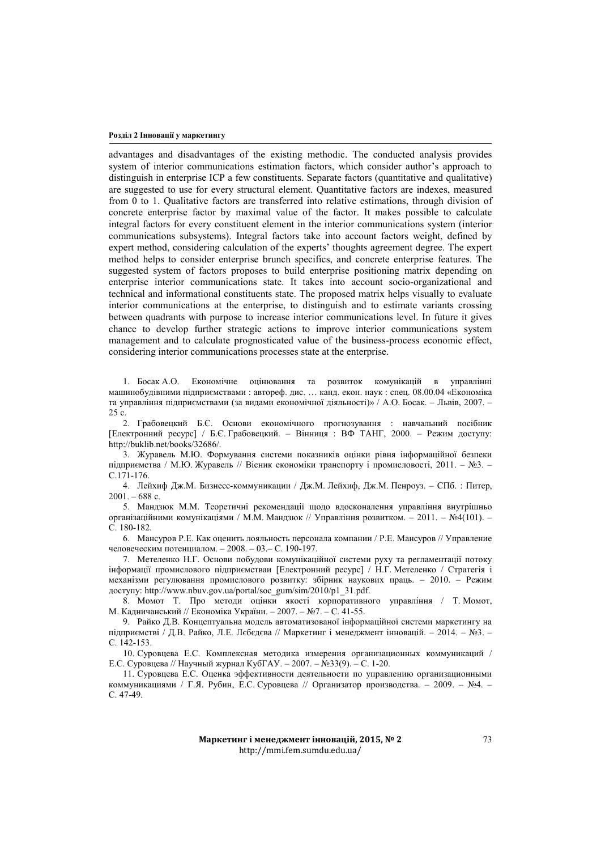### **Розділ 2 Інновації у маркетингу**

advantages and disadvantages of the existing methodic. The conducted analysis provides system of interior communications estimation factors, which consider author's approach to distinguish in enterprise ICP a few constituents. Separate factors (quantitative and qualitative) are suggested to use for every structural element. Quantitative factors are indexes, measured from 0 to 1. Qualitative factors are transferred into relative estimations, through division of concrete enterprise factor by maximal value of the factor. It makes possible to calculate integral factors for every constituent element in the interior communications system (interior communications subsystems). Integral factors take into account factors weight, defined by expert method, considering calculation of the experts' thoughts agreement degree. The expert method helps to consider enterprise brunch specifics, and concrete enterprise features. The suggested system of factors proposes to build enterprise positioning matrix depending on enterprise interior communications state. It takes into account socio-organizational and technical and informational constituents state. The proposed matrix helps visually to evaluate interior communications at the enterprise, to distinguish and to estimate variants crossing between quadrants with purpose to increase interior communications level. In future it gives chance to develop further strategic actions to improve interior communications system management and to calculate prognosticated value of the business-process economic effect, considering interior communications processes state at the enterprise.

1. Босак А.О. Економічне оцінювання та розвиток комунікацій в управлінні машинобудівними підприємствами : автореф. дис. … канд. екон. наук : спец. 08.00.04 «Економіка та управління підприємствами (за видами економічної діяльності)» / А.О. Босак. – Львів, 2007. – 25 с.

2. Грабовецкий Б.Є. Основи економічного прогнозування : навчальний посібник [Електронний ресурс] / Б.Є. Грабовецкий. – Вінниця : ВФ ТАНГ, 2000. – Режим доступу: http://buklib.net/books/32686/.

3. Журавель М.Ю. Формування системи показників оцінки рівня інформаційної безпеки підприємства / М.Ю. Журавель // Вісник економіки транспорту і промисловості, 2011. – №3. – С.171-176.

4. Лейхиф Дж.М. Бизнесс-коммуникации / Дж.М. Лейхиф, Дж.М. Пенроуз. – СПб. : Питер,  $2001 - 688$  c.

5. Мандзюк М.М. Теоретичні рекомендації щодо вдосконалення управління внутрішньо організаційними комунікаціями / М.М. Мандзюк // Управління розвитком. – 2011. – №4(101). – С. 180-182.

6. Мансуров Р.Е. Как оценить лояльность персонала компании / Р.Е. Мансуров // Управление человеческим потенциалом. – 2008. – 03.– С. 190-197.

7. Метеленко Н.Г. Основи побудови комунікаційної системи руху та регламентації потоку інформації промислового підприємстваи [Електронний ресурс] / Н.Г. Метеленко / Стратегія і механізми регулювання промислового розвитку: збiрник наукових праць. – 2010. – Режим доступу: http://www.nbuv.gov.ua/portal/soc\_gum/sim/2010/p1\_31.pdf.

8. Момот Т. Про методи оцінки якості корпоративного управління / Т. Момот, М. Кадничанський // Економіка України. – 2007. – №7. – С. 41-55.

9. Райко Д.В. Концептуальна модель автоматизованої інформаційної системи маркетингу на підприємстві / Д.В. Райко, Л.Е. Лєбєдєва // Маркетинг і менеджмент інновацій. – 2014. – №3. – С. 142-153.

10. Суровцева Е.С. Комплексная методика измерения организационных коммуникаций / Е.С. Суровцева // Научный журнал КубГАУ. – 2007. – №33(9). – С. 1-20.

11. Суровцева Е.С. Оценка эффективности деятельности по управлению организационными коммуникациями / Г.Я. Рубин, Е.С. Суровцева // Организатор производства. – 2009. – №4. – С. 47-49.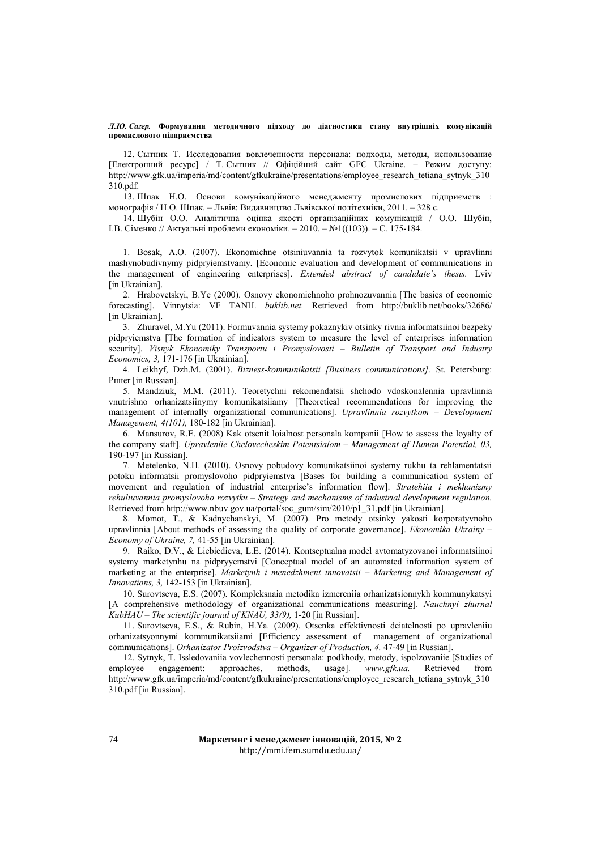12. Сытник Т. Исследования вовлеченности персонала: подходы, методы, использование [Електронний ресурс] / Т. Сытник // Офіційний сайт GFC Ukraine. – Режим доступу: http://www.gfk.ua/imperia/md/content/gfkukraine/presentations/employee\_research\_tetiana\_sytnyk\_310 310.pdf.

13. Шпак Н.О. Основи комунікаційного менеджменту промислових підприємств : монографія / Н.О. Шпак. – Львів: Видавництво Львівської політехніки, 2011. – 328 с.

14. Шубін О.О. Аналітична оцінка якості організаційних комунікацій / О.О. Шубін, І.В. Сіменко // Актуальні проблеми економіки. – 2010. – №1((103)). – С. 175-184.

1. Bosak, A.O. (2007). Ekonomichne otsiniuvannia ta rozvytok komunikatsii v upravlinni mashynobudivnymy pidpryiemstvamy. [Economic evaluation and development of communications in the management of engineering enterprises]. *Extended abstract of candidate's thesis.* Lviv [in Ukrainian].

2. Hrabovetskyi, B.Ye (2000). Osnovy ekonomichnoho prohnozuvannia [The basics of economic forecasting]. Vinnytsia: VF TANH. *buklib.net.* Retrieved from http://buklib.net/books/32686/ [in Ukrainian].

3. Zhuravel, M.Yu (2011). Formuvannia systemy pokaznykiv otsinky rivnia informatsiinoi bezpeky pidpryiemstva [The formation of indicators system to measure the level of enterprises information security]. *Visnyk Ekonomiky Transportu i Promyslovosti – Bulletin of Transport and Industry Economics, 3,* 171-176 [in Ukrainian].

4. Leikhyf, Dzh.M. (2001). *Bizness-kommunikatsii [Business communications].* St. Petersburg: Pшter [in Russian].

5. Mandziuk, M.M. (2011). Teoretychni rekomendatsii shchodo vdoskonalennia upravlinnia vnutrishno orhanizatsiinymy komunikatsiiamy [Theoretical recommendations for improving the management of internally organizational communications]. *Upravlinnia rozvytkom – Development Management, 4(101),* 180-182 [in Ukrainian].

6. Mansurov, R.E. (2008) Kak otsenit loialnost personala kompanii [How to assess the loyalty of the company staff]. *Upravleniie Chelovecheskim Potentsialom – Management of Human Potential, 03,* 190-197 [in Russian].

7. Metelenko, N.H. (2010). Osnovy pobudovy komunikatsiinoi systemy rukhu ta rehlamentatsii potoku informatsii promyslovoho pidpryiemstva [Bases for building a communication system of movement and regulation of industrial enterprise's information flow]. *Stratehiia i mekhanizmy rehuliuvannia promyslovoho rozvytku – Strategy and mechanisms of industrial development regulation.* Retrieved from http://www.nbuv.gov.ua/portal/soc\_gum/sim/2010/p1\_31.pdf [in Ukrainian].

8. Momot, T., & Kadnychanskyi, M. (2007). Pro metody otsinky yakosti korporatyvnoho upravlinnia [About methods of assessing the quality of corporate governance]. *Ekonomika Ukrainy – Economy of Ukraine, 7,* 41-55 [in Ukrainian].

9. Raiko, D.V., & Liebiedieva, L.E. (2014). Kontseptualna model avtomatyzovanoi informatsiinoi systemy marketynhu na pidpryyemstvi [Conceptual model of an automated information system of marketing at the enterprise]. *Marketynh i menedzhment innovatsii – Marketing and Management of Innovations, 3,* 142-153 [in Ukrainian].

10. Surovtseva, E.S. (2007). Kompleksnaia metodika izmereniia orhanizatsionnykh kommunykatsyi [A comprehensive methodology of organizational communications measuring]. *Nauchnyi zhurnal KubHAU – The scientific journal of KNAU, 33(9),* 1-20 [in Russian].

11. Surovtseva, E.S., & Rubin, H.Ya. (2009). Otsenka effektivnosti deiatelnosti po upravleniiu orhanizatsyonnymi kommunikatsiiami [Efficiency assessment of management of organizational communications]. *Orhanizator Proizvodstva – Organizer of Production, 4,* 47-49 [in Russian].

12. Sytnyk, T. Issledovaniia vovlechennosti personala: podkhody, metody, ispolzovaniie [Studies of employee engagement: approaches, methods, usage]. *www.gfk.ua.* Retrieved from http://www.gfk.ua/imperia/md/content/gfkukraine/presentations/employee\_research\_tetiana\_sytnyk\_310 310.pdf [in Russian].